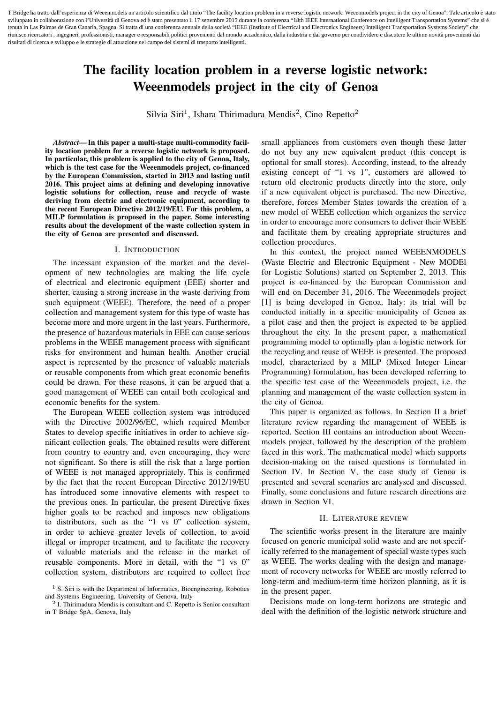T Bridge ha tratto dall'esperienza di Weeenmodels un articolo scientifico dal titolo "The facility location problem in a reverse logistic network: Weeenmodels project in the city of Genoa". Tale articolo è stato sviluppato in collaborazione con l'Università di Genova ed è stato presentato il 17 settembre 2015 durante la conferenza "18th IEEE International Conference on Intelligent Transportation Systems" che si è tenuta in Las Palmas de Gran Canaria, Spagna. Si tratta di una conferenza annuale della società "IEEE (Institute of Electrical and Electronics Engineers) Intelligent Transportation Systems Society" che riunisce ricercatori , ingegneri, professionisti, manager e responsabili politici provenienti dal mondo accademico, dalla industria e dal governo per condividere e discutere le ultime novità provenienti dai risultati di ricerca e sviluppo e le strategie di attuazione nel campo dei sistemi di trasporto intelligenti.

# The facility location problem in a reverse logistic network: Weeenmodels project in the city of Genoa

Silvia Siri<sup>1</sup>, Ishara Thirimadura Mendis<sup>2</sup>, Cino Repetto<sup>2</sup>

*Abstract*— In this paper a multi-stage multi-commodity facility location problem for a reverse logistic network is proposed. In particular, this problem is applied to the city of Genoa, Italy, which is the test case for the Weeenmodels project, co-financed by the European Commission, started in 2013 and lasting until 2016. This project aims at defining and developing innovative logistic solutions for collection, reuse and recycle of waste deriving from electric and electronic equipment, according to the recent European Directive 2012/19/EU. For this problem, a MILP formulation is proposed in the paper. Some interesting results about the development of the waste collection system in the city of Genoa are presented and discussed.

#### I. INTRODUCTION

The incessant expansion of the market and the development of new technologies are making the life cycle of electrical and electronic equipment (EEE) shorter and shorter, causing a strong increase in the waste deriving from such equipment (WEEE). Therefore, the need of a proper collection and management system for this type of waste has become more and more urgent in the last years. Furthermore, the presence of hazardous materials in EEE can cause serious problems in the WEEE management process with significant risks for environment and human health. Another crucial aspect is represented by the presence of valuable materials or reusable components from which great economic benefits could be drawn. For these reasons, it can be argued that a good management of WEEE can entail both ecological and economic benefits for the system.

The European WEEE collection system was introduced with the Directive 2002/96/EC, which required Member States to develop specific initiatives in order to achieve significant collection goals. The obtained results were different from country to country and, even encouraging, they were not significant. So there is still the risk that a large portion of WEEE is not managed appropriately. This is confirmed by the fact that the recent European Directive 2012/19/EU has introduced some innovative elements with respect to the previous ones. In particular, the present Directive fixes higher goals to be reached and imposes new obligations to distributors, such as the "1 vs 0" collection system, in order to achieve greater levels of collection, to avoid illegal or improper treatment, and to facilitate the recovery of valuable materials and the release in the market of reusable components. More in detail, with the "1 vs 0" collection system, distributors are required to collect free small appliances from customers even though these latter do not buy any new equivalent product (this concept is optional for small stores). According, instead, to the already existing concept of "1 vs 1", customers are allowed to return old electronic products directly into the store, only if a new equivalent object is purchased. The new Directive, therefore, forces Member States towards the creation of a new model of WEEE collection which organizes the service in order to encourage more consumers to deliver their WEEE and facilitate them by creating appropriate structures and collection procedures.

In this context, the project named WEEENMODELS (Waste Electric and Electronic Equipment - New MODEl for Logistic Solutions) started on September 2, 2013. This project is co-financed by the European Commission and will end on December 31, 2016. The Weeenmodels project [1] is being developed in Genoa, Italy: its trial will be conducted initially in a specific municipality of Genoa as a pilot case and then the project is expected to be applied throughout the city. In the present paper, a mathematical programming model to optimally plan a logistic network for the recycling and reuse of WEEE is presented. The proposed model, characterized by a MILP (Mixed Integer Linear Programming) formulation, has been developed referring to the specific test case of the Weeenmodels project, i.e. the planning and management of the waste collection system in the city of Genoa.

This paper is organized as follows. In Section II a brief literature review regarding the management of WEEE is reported. Section III contains an introduction about Weeenmodels project, followed by the description of the problem faced in this work. The mathematical model which supports decision-making on the raised questions is formulated in Section IV. In Section V, the case study of Genoa is presented and several scenarios are analysed and discussed. Finally, some conclusions and future research directions are drawn in Section VI.

### II. LITERATURE REVIEW

The scientific works present in the literature are mainly focused on generic municipal solid waste and are not specifically referred to the management of special waste types such as WEEE. The works dealing with the design and management of recovery networks for WEEE are mostly referred to long-term and medium-term time horizon planning, as it is in the present paper.

Decisions made on long-term horizons are strategic and deal with the definition of the logistic network structure and

<sup>&</sup>lt;sup>1</sup> S. Siri is with the Department of Informatics, Bioengineering, Robotics

and Systems Engineering, University of Genova, Italy 2 I. Thirimadura Mendis is consultant and C. Repetto is Senior consultant in T Bridge SpA, Genova, Italy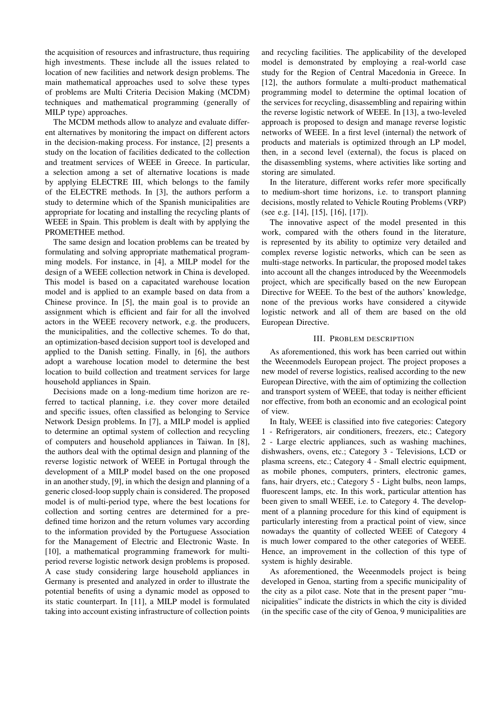the acquisition of resources and infrastructure, thus requiring high investments. These include all the issues related to location of new facilities and network design problems. The main mathematical approaches used to solve these types of problems are Multi Criteria Decision Making (MCDM) techniques and mathematical programming (generally of MILP type) approaches.

The MCDM methods allow to analyze and evaluate different alternatives by monitoring the impact on different actors in the decision-making process. For instance, [2] presents a study on the location of facilities dedicated to the collection and treatment services of WEEE in Greece. In particular, a selection among a set of alternative locations is made by applying ELECTRE III, which belongs to the family of the ELECTRE methods. In [3], the authors perform a study to determine which of the Spanish municipalities are appropriate for locating and installing the recycling plants of WEEE in Spain. This problem is dealt with by applying the PROMETHEE method.

The same design and location problems can be treated by formulating and solving appropriate mathematical programming models. For instance, in [4], a MILP model for the design of a WEEE collection network in China is developed. This model is based on a capacitated warehouse location model and is applied to an example based on data from a Chinese province. In [5], the main goal is to provide an assignment which is efficient and fair for all the involved actors in the WEEE recovery network, e.g. the producers, the municipalities, and the collective schemes. To do that, an optimization-based decision support tool is developed and applied to the Danish setting. Finally, in [6], the authors adopt a warehouse location model to determine the best location to build collection and treatment services for large household appliances in Spain.

Decisions made on a long-medium time horizon are referred to tactical planning, i.e. they cover more detailed and specific issues, often classified as belonging to Service Network Design problems. In [7], a MILP model is applied to determine an optimal system of collection and recycling of computers and household appliances in Taiwan. In [8], the authors deal with the optimal design and planning of the reverse logistic network of WEEE in Portugal through the development of a MILP model based on the one proposed in an another study, [9], in which the design and planning of a generic closed-loop supply chain is considered. The proposed model is of multi-period type, where the best locations for collection and sorting centres are determined for a predefined time horizon and the return volumes vary according to the information provided by the Portuguese Association for the Management of Electric and Electronic Waste. In [10], a mathematical programming framework for multiperiod reverse logistic network design problems is proposed. A case study considering large household appliances in Germany is presented and analyzed in order to illustrate the potential benefits of using a dynamic model as opposed to its static counterpart. In [11], a MILP model is formulated taking into account existing infrastructure of collection points and recycling facilities. The applicability of the developed model is demonstrated by employing a real-world case study for the Region of Central Macedonia in Greece. In [12], the authors formulate a multi-product mathematical programming model to determine the optimal location of the services for recycling, disassembling and repairing within the reverse logistic network of WEEE. In [13], a two-leveled approach is proposed to design and manage reverse logistic networks of WEEE. In a first level (internal) the network of products and materials is optimized through an LP model, then, in a second level (external), the focus is placed on the disassembling systems, where activities like sorting and storing are simulated.

In the literature, different works refer more specifically to medium-short time horizons, i.e. to transport planning decisions, mostly related to Vehicle Routing Problems (VRP) (see e.g. [14], [15], [16], [17]).

The innovative aspect of the model presented in this work, compared with the others found in the literature, is represented by its ability to optimize very detailed and complex reverse logistic networks, which can be seen as multi-stage networks. In particular, the proposed model takes into account all the changes introduced by the Weeenmodels project, which are specifically based on the new European Directive for WEEE. To the best of the authors' knowledge, none of the previous works have considered a citywide logistic network and all of them are based on the old European Directive.

#### III. PROBLEM DESCRIPTION

As aforementioned, this work has been carried out within the Weeenmodels European project. The project proposes a new model of reverse logistics, realised according to the new European Directive, with the aim of optimizing the collection and transport system of WEEE, that today is neither efficient nor effective, from both an economic and an ecological point of view.

In Italy, WEEE is classified into five categories: Category 1 - Refrigerators, air conditioners, freezers, etc.; Category 2 - Large electric appliances, such as washing machines, dishwashers, ovens, etc.; Category 3 - Televisions, LCD or plasma screens, etc.; Category 4 - Small electric equipment, as mobile phones, computers, printers, electronic games, fans, hair dryers, etc.; Category 5 - Light bulbs, neon lamps, fluorescent lamps, etc. In this work, particular attention has been given to small WEEE, i.e. to Category 4. The development of a planning procedure for this kind of equipment is particularly interesting from a practical point of view, since nowadays the quantity of collected WEEE of Category 4 is much lower compared to the other categories of WEEE. Hence, an improvement in the collection of this type of system is highly desirable.

As aforementioned, the Weeenmodels project is being developed in Genoa, starting from a specific municipality of the city as a pilot case. Note that in the present paper "municipalities" indicate the districts in which the city is divided (in the specific case of the city of Genoa, 9 municipalities are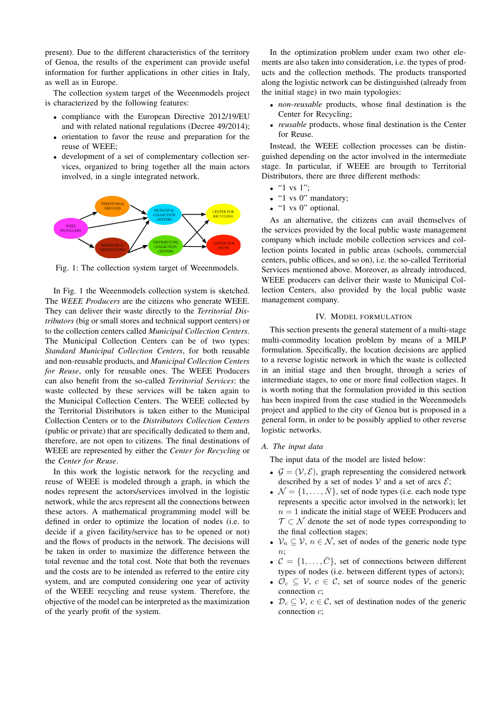present). Due to the different characteristics of the territory of Genoa, the results of the experiment can provide useful information for further applications in other cities in Italy, as well as in Europe.

The collection system target of the Weeenmodels project is characterized by the following features:

- compliance with the European Directive 2012/19/EU and with related national regulations (Decree 49/2014);
- orientation to favor the reuse and preparation for the reuse of WEEE;
- development of a set of complementary collection services, organized to bring together all the main actors involved, in a single integrated network.



Fig. 1: The collection system target of Weeenmodels.

In Fig. 1 the Weeenmodels collection system is sketched. The *WEEE Producers* are the citizens who generate WEEE. They can deliver their waste directly to the *Territorial Distributors* (big or small stores and technical support centers) or to the collection centers called *Municipal Collection Centers*. The Municipal Collection Centers can be of two types: *Standard Municipal Collection Centers*, for both reusable and non-reusable products, and *Municipal Collection Centers for Reuse*, only for reusable ones. The WEEE Producers can also benefit from the so-called *Territorial Services*: the waste collected by these services will be taken again to the Municipal Collection Centers. The WEEE collected by the Territorial Distributors is taken either to the Municipal Collection Centers or to the *Distributors Collection Centers* (public or private) that are specifically dedicated to them and, therefore, are not open to citizens. The final destinations of WEEE are represented by either the *Center for Recycling* or the *Center for Reuse*.

In this work the logistic network for the recycling and reuse of WEEE is modeled through a graph, in which the nodes represent the actors/services involved in the logistic network, while the arcs represent all the connections between these actors. A mathematical programming model will be defined in order to optimize the location of nodes (i.e. to decide if a given facility/service has to be opened or not) and the flows of products in the network. The decisions will be taken in order to maximize the difference between the total revenue and the total cost. Note that both the revenues and the costs are to be intended as referred to the entire city system, and are computed considering one year of activity of the WEEE recycling and reuse system. Therefore, the objective of the model can be interpreted as the maximization of the yearly profit of the system.

In the optimization problem under exam two other elements are also taken into consideration, i.e. the types of products and the collection methods. The products transported along the logistic network can be distinguished (already from the initial stage) in two main typologies:

- *non-reusable* products, whose final destination is the Center for Recycling;
- *reusable* products, whose final destination is the Center for Reuse.

Instead, the WEEE collection processes can be distinguished depending on the actor involved in the intermediate stage. In particular, if WEEE are brougth to Territorial Distributors, there are three different methods:

- "1 vs 1";
- "1 vs 0" mandatory;
- "1 vs 0" optional.

As an alternative, the citizens can avail themselves of the services provided by the local public waste management company which include mobile collection services and collection points located in public areas (schools, commercial centers, public offices, and so on), i.e. the so-called Territorial Services mentioned above. Moreover, as already introduced, WEEE producers can deliver their waste to Municipal Collection Centers, also provided by the local public waste management company.

## IV. MODEL FORMULATION

This section presents the general statement of a multi-stage multi-commodity location problem by means of a MILP formulation. Specifically, the location decisions are applied to a reverse logistic network in which the waste is collected in an initial stage and then brought, through a series of intermediate stages, to one or more final collection stages. It is worth noting that the formulation provided in this section has been inspired from the case studied in the Weeenmodels project and applied to the city of Genoa but is proposed in a general form, in order to be possibly applied to other reverse logistic networks.

#### *A. The input data*

The input data of the model are listed below:

- $\mathcal{G} = (\mathcal{V}, \mathcal{E})$ , graph representing the considered network described by a set of nodes  $V$  and a set of arcs  $\mathcal{E}$ ;
- $\mathcal{N} = \{1, \ldots, \bar{N}\}\,$  set of node types (i.e. each node type represents a specific actor involved in the network); let  $n = 1$  indicate the initial stage of WEEE Producers and  $T \subset \mathcal{N}$  denote the set of node types corresponding to the final collection stages;
- $V_n \subseteq V$ ,  $n \in \mathcal{N}$ , set of nodes of the generic node type  $n$ :
- $C = \{1, \ldots, \overline{C}\}\$ , set of connections between different types of nodes (i.e. between different types of actors);
- $\mathcal{O}_c \subseteq \mathcal{V}, c \in \mathcal{C}$ , set of source nodes of the generic connection c;
- $\mathcal{D}_c \subseteq \mathcal{V}, c \in \mathcal{C}$ , set of destination nodes of the generic connection c;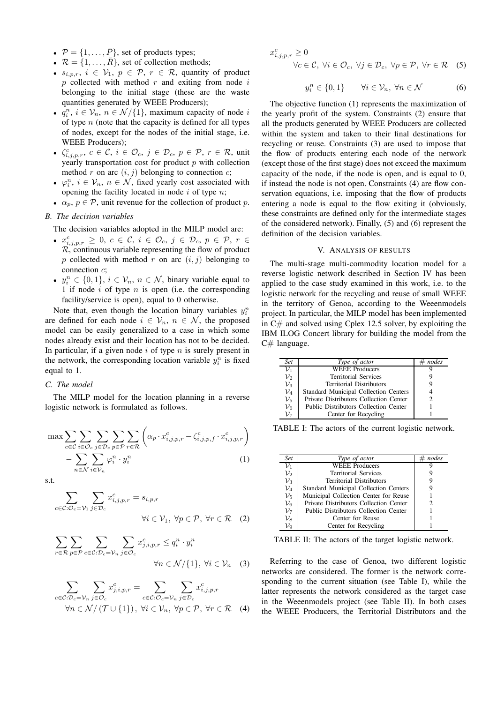- $P = \{1, \ldots, \bar{P}\}\text{, set of products types};$
- $\mathcal{R} = \{1, \ldots, \bar{R}\}\$ , set of collection methods;
- $s_{i,p,r}, i \in \mathcal{V}_1, p \in \mathcal{P}, r \in \mathcal{R}$ , quantity of product  $p$  collected with method  $r$  and exiting from node  $i$ belonging to the initial stage (these are the waste quantities generated by WEEE Producers);
- $q_i^n$ ,  $i \in \mathcal{V}_n$ ,  $n \in \mathcal{N}/\{1\}$ , maximum capacity of node i of type  $n$  (note that the capacity is defined for all types of nodes, except for the nodes of the initial stage, i.e. WEEE Producers);
- $\zeta_{i,j,p,r}^c, c \in \mathcal{C}, i \in \mathcal{O}_c, j \in \mathcal{D}_c, p \in \mathcal{P}, r \in \mathcal{R}$ , unit yearly transportation cost for product  $p$  with collection method r on arc  $(i, j)$  belonging to connection c;
- $\varphi_i^n$ ,  $i \in \mathcal{V}_n$ ,  $n \in \mathcal{N}$ , fixed yearly cost associated with opening the facility located in node  $i$  of type  $n$ ;
- $\alpha_p$ ,  $p \in \mathcal{P}$ , unit revenue for the collection of product p.

## *B. The decision variables*

The decision variables adopted in the MILP model are:

- $x_{i,j,p,r}^c \geq 0, c \in \mathcal{C}, i \in \mathcal{O}_c, j \in \mathcal{D}_c, p \in \mathcal{P}, r \in$  $\mathcal{R}$ , continuous variable representing the flow of product p collected with method r on arc  $(i, j)$  belonging to connection c;
- $y_i^n \in \{0,1\}, i \in \mathcal{V}_n, n \in \mathcal{N}$ , binary variable equal to 1 if node  $i$  of type  $n$  is open (i.e. the corresponding facility/service is open), equal to 0 otherwise.

Note that, even though the location binary variables  $y_i^n$ are defined for each node  $i \in \mathcal{V}_n$ ,  $n \in \mathcal{N}$ , the proposed model can be easily generalized to a case in which some nodes already exist and their location has not to be decided. In particular, if a given node  $i$  of type  $n$  is surely present in the network, the corresponding location variable  $y_i^n$  is fixed equal to 1.

## *C. The model*

The MILP model for the location planning in a reverse logistic network is formulated as follows.

$$
\max \sum_{c \in \mathcal{C}} \sum_{i \in \mathcal{O}_c} \sum_{j \in \mathcal{D}_c} \sum_{p \in \mathcal{P}} \sum_{r \in \mathcal{R}} \left( \alpha_p \cdot x_{i,j,p,r}^c - \zeta_{i,j,p,f}^c \cdot x_{i,j,p,r}^c \right) - \sum_{n \in \mathcal{N}} \sum_{i \in \mathcal{V}_n} \varphi_i^n \cdot y_i^n \tag{1}
$$

s.t.

$$
\sum_{c \in \mathcal{C}: \mathcal{O}_c = \mathcal{V}_1} \sum_{j \in \mathcal{D}_c} x^c_{i,j,p,r} = s_{i,p,r}
$$
  

$$
\forall i \in \mathcal{V}_1, \forall p \in \mathcal{P}, \forall r \in \mathcal{R} \quad (2)
$$

$$
\sum_{r \in \mathcal{R}} \sum_{p \in \mathcal{P}} \sum_{c \in \mathcal{C}: \mathcal{D}_c = \mathcal{V}_n} \sum_{j \in \mathcal{O}_c} x_{j,i,p,r}^c \le q_i^n \cdot y_i^n
$$
  

$$
\forall n \in \mathcal{N}/\{1\}, \ \forall i \in \mathcal{V}_n \quad (3)
$$

$$
\sum_{c \in \mathcal{C}: \mathcal{D}_c = \mathcal{V}_n} \sum_{j \in \mathcal{O}_c} x_{j,i,p,r}^c = \sum_{c \in \mathcal{C}: \mathcal{O}_c = \mathcal{V}_n} \sum_{j \in \mathcal{D}_c} x_{i,j,p,r}^c
$$
  
\n
$$
\forall n \in \mathcal{N} / (\mathcal{T} \cup \{1\}), \ \forall i \in \mathcal{V}_n, \ \forall p \in \mathcal{P}, \ \forall r \in \mathcal{R} \quad (4)
$$

$$
x_{i,j,p,r}^c \ge 0
$$
  
\n
$$
\forall c \in \mathcal{C}, \forall i \in \mathcal{O}_c, \forall j \in \mathcal{D}_c, \forall p \in \mathcal{P}, \forall r \in \mathcal{R}
$$
 (5)

$$
y_i^n \in \{0, 1\} \qquad \forall i \in \mathcal{V}_n, \ \forall n \in \mathcal{N} \tag{6}
$$

The objective function (1) represents the maximization of the yearly profit of the system. Constraints (2) ensure that all the products generated by WEEE Producers are collected within the system and taken to their final destinations for recycling or reuse. Constraints (3) are used to impose that the flow of products entering each node of the network (except those of the first stage) does not exceed the maximum capacity of the node, if the node is open, and is equal to 0, if instead the node is not open. Constraints (4) are flow conservation equations, i.e. imposing that the flow of products entering a node is equal to the flow exiting it (obviously, these constraints are defined only for the intermediate stages of the considered network). Finally, (5) and (6) represent the definition of the decision variables.

## V. ANALYSIS OF RESULTS

The multi-stage multi-commodity location model for a reverse logistic network described in Section IV has been applied to the case study examined in this work, i.e. to the logistic network for the recycling and reuse of small WEEE in the territory of Genoa, according to the Weeenmodels project. In particular, the MILP model has been implemented in C# and solved using Cplex 12.5 solver, by exploiting the IBM ILOG Concert library for building the model from the  $C#$  language.

| Set             | Type of actor                                | nodes |
|-----------------|----------------------------------------------|-------|
| V1              | <b>WEEE Producers</b>                        |       |
| $\mathcal{V}_2$ | <b>Territorial Services</b>                  |       |
| $\mathcal{V}_3$ | <b>Territorial Distributors</b>              |       |
| $\mathcal{V}_4$ | Standard Municipal Collection Centers        |       |
| $\mathcal{V}_5$ | Private Distributors Collection Center       | 2     |
| $\mathcal{V}_6$ | <b>Public Distributors Collection Center</b> |       |
| ν7              | Center for Recycling                         |       |

TABLE I: The actors of the current logistic network.

| Set             | Type of actor                                | # nodes |
|-----------------|----------------------------------------------|---------|
| $\mathcal{V}_1$ | <b>WEEE Producers</b>                        |         |
| $\mathcal{V}_2$ | <b>Territorial Services</b>                  |         |
| $\mathcal{V}_3$ | <b>Territorial Distributors</b>              |         |
| $\mathcal{V}_4$ | Standard Municipal Collection Centers        |         |
| $\mathcal{V}_5$ | Municipal Collection Center for Reuse        |         |
| $\mathcal{V}_6$ | Private Distributors Collection Center       | 2       |
| $\mathcal{V}_7$ | <b>Public Distributors Collection Center</b> |         |
| $\mathcal{V}_8$ | Center for Reuse                             |         |
| V9              | Center for Recycling                         |         |

TABLE II: The actors of the target logistic network.

Referring to the case of Genoa, two different logistic networks are considered. The former is the network corresponding to the current situation (see Table I), while the latter represents the network considered as the target case in the Weeenmodels project (see Table II). In both cases the WEEE Producers, the Territorial Distributors and the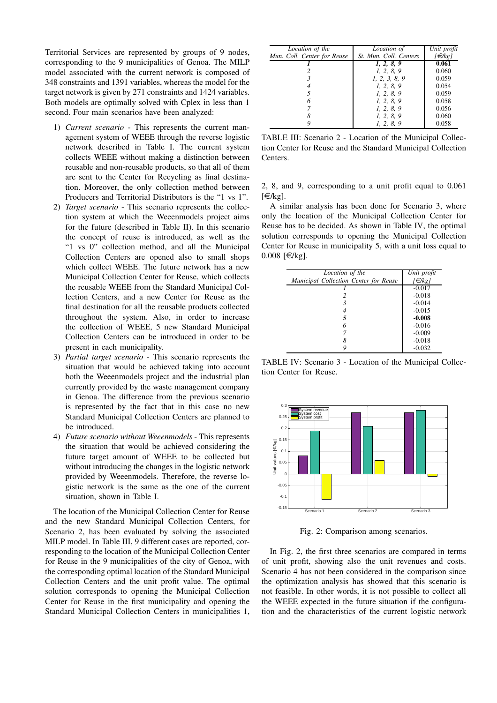Territorial Services are represented by groups of 9 nodes, corresponding to the 9 municipalities of Genoa. The MILP model associated with the current network is composed of 348 constraints and 1391 variables, whereas the model for the target network is given by 271 constraints and 1424 variables. Both models are optimally solved with Cplex in less than 1 second. Four main scenarios have been analyzed:

- 1) *Current scenario* This represents the current management system of WEEE through the reverse logistic network described in Table I. The current system collects WEEE without making a distinction between reusable and non-reusable products, so that all of them are sent to the Center for Recycling as final destination. Moreover, the only collection method between Producers and Territorial Distributors is the "1 vs 1".
- 2) *Target scenario* This scenario represents the collection system at which the Weeenmodels project aims for the future (described in Table II). In this scenario the concept of reuse is introduced, as well as the "1 vs 0" collection method, and all the Municipal Collection Centers are opened also to small shops which collect WEEE. The future network has a new Municipal Collection Center for Reuse, which collects the reusable WEEE from the Standard Municipal Collection Centers, and a new Center for Reuse as the final destination for all the reusable products collected throughout the system. Also, in order to increase the collection of WEEE, 5 new Standard Municipal Collection Centers can be introduced in order to be present in each municipality.
- 3) *Partial target scenario* This scenario represents the situation that would be achieved taking into account both the Weeenmodels project and the industrial plan currently provided by the waste management company in Genoa. The difference from the previous scenario is represented by the fact that in this case no new Standard Municipal Collection Centers are planned to be introduced.
- 4) *Future scenario without Weeenmodels* This represents the situation that would be achieved considering the future target amount of WEEE to be collected but without introducing the changes in the logistic network provided by Weeenmodels. Therefore, the reverse logistic network is the same as the one of the current situation, shown in Table I.

The location of the Municipal Collection Center for Reuse and the new Standard Municipal Collection Centers, for Scenario 2, has been evaluated by solving the associated MILP model. In Table III, 9 different cases are reported, corresponding to the location of the Municipal Collection Center for Reuse in the 9 municipalities of the city of Genoa, with the corresponding optimal location of the Standard Municipal Collection Centers and the unit profit value. The optimal solution corresponds to opening the Municipal Collection Center for Reuse in the first municipality and opening the Standard Municipal Collection Centers in municipalities 1,

| Location of the             | Location of            | Unit profit            |
|-----------------------------|------------------------|------------------------|
| Mun. Coll. Center for Reuse | St. Mun. Coll. Centers | $I \in \mathcal{R}$ g] |
|                             | 1, 2, 8, 9             | 0.061                  |
|                             | 1, 2, 8, 9             | 0.060                  |
|                             | 1, 2, 3, 8, 9          | 0.059                  |
|                             | 1, 2, 8, 9             | 0.054                  |
|                             | 1, 2, 8, 9             | 0.059                  |
| 6                           | 1, 2, 8, 9             | 0.058                  |
|                             | 1, 2, 8, 9             | 0.056                  |
|                             | 1, 2, 8, 9             | 0.060                  |
|                             | 1, 2, 8, 9             | 0.058                  |

TABLE III: Scenario 2 - Location of the Municipal Collection Center for Reuse and the Standard Municipal Collection Centers.

2, 8, and 9, corresponding to a unit profit equal to 0.061  $\left[\in \mathcal{K}$ g].

A similar analysis has been done for Scenario 3, where only the location of the Municipal Collection Center for Reuse has to be decided. As shown in Table IV, the optimal solution corresponds to opening the Municipal Collection Center for Reuse in municipality 5, with a unit loss equal to  $0.008$  [ $\in$ /kg].

| Location of the                       | Unit profit        |
|---------------------------------------|--------------------|
| Municipal Collection Center for Reuse | $I \in \mathbb{R}$ |
|                                       | $-0.017$           |
| 2                                     | $-0.018$           |
| 3                                     | $-0.014$           |
| 4                                     | $-0.015$           |
| 5                                     | $-0.008$           |
| 6                                     | $-0.016$           |
|                                       | $-0.009$           |
| 8                                     | $-0.018$           |
|                                       | $-0.032$           |
|                                       |                    |

TABLE IV: Scenario 3 - Location of the Municipal Collection Center for Reuse.



Fig. 2: Comparison among scenarios.

In Fig. 2, the first three scenarios are compared in terms of unit profit, showing also the unit revenues and costs. Scenario 4 has not been considered in the comparison since the optimization analysis has showed that this scenario is not feasible. In other words, it is not possible to collect all the WEEE expected in the future situation if the configuration and the characteristics of the current logistic network